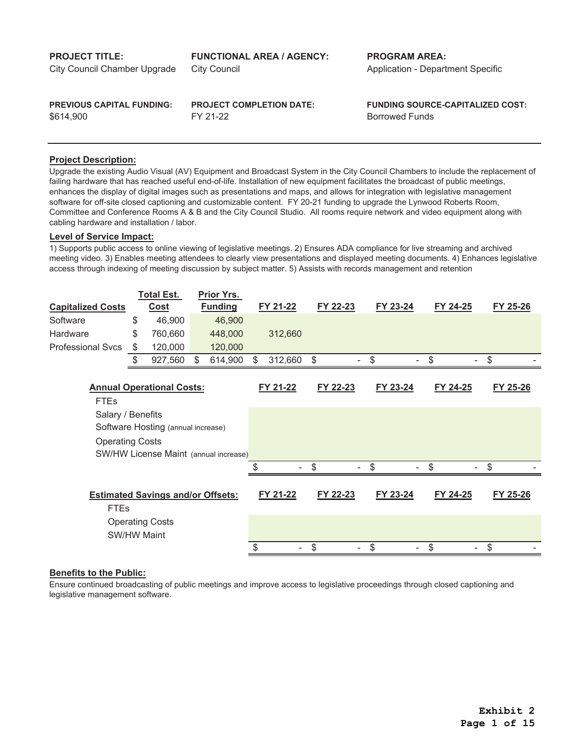| <b>PROJECT TITLE:</b>            | <b>FUNCTIONAL AREA / AGENCY:</b> | <b>PROGRAM AREA:</b>                     |
|----------------------------------|----------------------------------|------------------------------------------|
| City Council Chamber Upgrade     | <b>City Council</b>              | <b>Application - Department Specific</b> |
| <b>PREVIOUS CAPITAL FUNDING:</b> | <b>PROJECT COMPLETION DATE:</b>  | <b>FUNDING SOURCE-CAPITALIZED COST:</b>  |
| \$614.900                        | FY 21-22                         | <b>Borrowed Funds</b>                    |

Upgrade the existing Audio Visual (AV) Equipment and Broadcast System in the City Council Chambers to include the replacement of failing hardware that has reached useful end-of-life. Installation of new equipment facilitates the broadcast of public meetings, enhances the display of digital images such as presentations and maps, and allows for integration with legislative management software for off-site closed captioning and customizable content. FY 20-21 funding to upgrade the Lynwood Roberts Room, Committee and Conference Rooms A & B and the City Council Studio. All rooms require network and video equipment along with cabling hardware and installation / labor.

## **Level of Service Impact:**

1) Supports public access to online viewing of legislative meetings. 2) Ensures ADA compliance for live streaming and archived meeting video. 3) Enables meeting attendees to clearly view presentations and displayed meeting documents. 4) Enhances legislative access through indexing of meeting discussion by subject matter. 5) Assists with records management and retention

|                          | <b>Total Est.</b>                        |     | Prior Yrs.     |               |          |          |          |          |
|--------------------------|------------------------------------------|-----|----------------|---------------|----------|----------|----------|----------|
| <b>Capitalized Costs</b> | <b>Cost</b>                              |     | <b>Funding</b> | FY 21-22      | FY 22-23 | FY 23-24 | FY 24-25 | FY 25-26 |
| Software                 | \$<br>46,900                             |     | 46,900         |               |          |          |          |          |
| Hardware                 | \$<br>760,660                            |     | 448,000        | 312,660       |          |          |          |          |
| <b>Professional Svcs</b> | \$<br>120,000                            |     | 120,000        |               |          |          |          |          |
|                          | \$<br>927,560                            | \$. | 614,900        | \$<br>312,660 | \$       | \$       | \$       | \$       |
|                          |                                          |     |                |               |          |          |          |          |
|                          | <b>Annual Operational Costs:</b>         |     |                | FY 21-22      | FY 22-23 | FY 23-24 | FY 24-25 | FY 25-26 |
| <b>FTEs</b>              |                                          |     |                |               |          |          |          |          |
| Salary / Benefits        |                                          |     |                |               |          |          |          |          |
|                          | Software Hosting (annual increase)       |     |                |               |          |          |          |          |
| <b>Operating Costs</b>   |                                          |     |                |               |          |          |          |          |
|                          | SW/HW License Maint (annual increase)    |     |                |               |          |          |          |          |
|                          |                                          |     |                |               | \$       | \$       | \$       |          |
|                          |                                          |     |                |               |          |          |          |          |
|                          | <b>Estimated Savings and/or Offsets:</b> |     |                | FY 21-22      | FY 22-23 | FY 23-24 | FY 24-25 | FY 25-26 |
| <b>FTEs</b>              |                                          |     |                |               |          |          |          |          |
|                          | <b>Operating Costs</b>                   |     |                |               |          |          |          |          |
| <b>SW/HW Maint</b>       |                                          |     |                |               |          |          |          |          |
|                          |                                          |     |                | \$            | \$       | \$       | \$       | \$       |

## **Benefits to the Public:**

Ensure continued broadcasting of public meetings and improve access to legislative proceedings through closed captioning and legislative management software.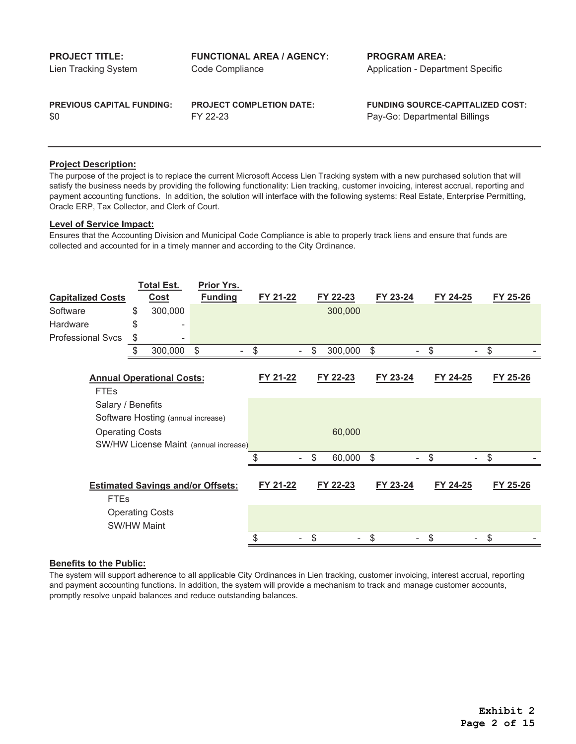|  | <b>PROJECT TITLE:</b> |  |  |
|--|-----------------------|--|--|
|  |                       |  |  |

Lien Tracking System

\$0

FY 22-23 Pay-Go: Departmental Billings

**PREVIOUS CAPITAL FUNDING: PROJECT COMPLETION DATE: FUNDING SOURCE-CAPITALIZED COST:**

# **Project Description:**

The purpose of the project is to replace the current Microsoft Access Lien Tracking system with a new purchased solution that will satisfy the business needs by providing the following functionality: Lien tracking, customer invoicing, interest accrual, reporting and payment accounting functions. In addition, the solution will interface with the following systems: Real Estate, Enterprise Permitting, Oracle ERP, Tax Collector, and Clerk of Court.

# **Level of Service Impact:**

Ensures that the Accounting Division and Municipal Code Compliance is able to properly track liens and ensure that funds are collected and accounted for in a timely manner and according to the City Ordinance.

| <b>Funding</b><br>FY 21-22<br>FY 23-24<br><b>Cost</b><br>FY 22-23<br>FY 24-25<br><b>Capitalized Costs</b><br>300,000<br>\$<br>300,000<br>Software | FY 25-26 |
|---------------------------------------------------------------------------------------------------------------------------------------------------|----------|
|                                                                                                                                                   |          |
|                                                                                                                                                   |          |
| Hardware<br>\$                                                                                                                                    |          |
| <b>Professional Svcs</b><br>\$                                                                                                                    |          |
| \$<br>\$<br>\$<br>\$<br>\$<br>300,000<br>\$<br>300,000                                                                                            | \$       |
|                                                                                                                                                   |          |
| FY 21-22<br>FY 23-24<br>FY 24-25<br>FY 22-23<br><b>Annual Operational Costs:</b>                                                                  | FY 25-26 |
| <b>FTEs</b>                                                                                                                                       |          |
| Salary / Benefits                                                                                                                                 |          |
| Software Hosting (annual increase)                                                                                                                |          |
| 60,000<br><b>Operating Costs</b>                                                                                                                  |          |
| SW/HW License Maint (annual increase)                                                                                                             |          |
| 60,000<br>\$<br>\$<br>\$                                                                                                                          |          |
|                                                                                                                                                   |          |
| FY 21-22<br>FY 22-23<br>FY 23-24<br>FY 24-25<br><b>Estimated Savings and/or Offsets:</b>                                                          | FY 25-26 |
| <b>FTEs</b>                                                                                                                                       |          |
| <b>Operating Costs</b>                                                                                                                            |          |
| <b>SW/HW Maint</b>                                                                                                                                |          |
| \$<br>\$<br>\$<br>\$                                                                                                                              |          |

# **Benefits to the Public:**

The system will support adherence to all applicable City Ordinances in Lien tracking, customer invoicing, interest accrual, reporting and payment accounting functions. In addition, the system will provide a mechanism to track and manage customer accounts, promptly resolve unpaid balances and reduce outstanding balances.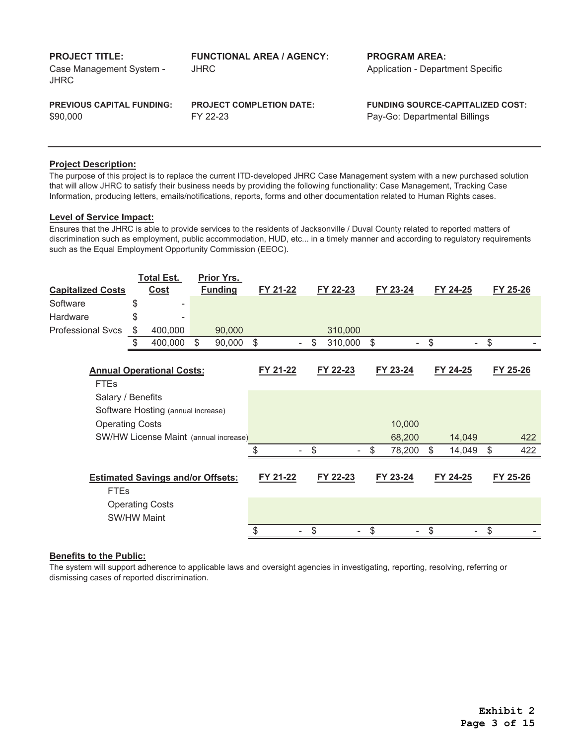| <b>PROJECT TITLE:</b><br>Case Management System -<br>JHRC | <b>FUNCTIONAL AREA / AGENCY:</b><br>JHRC | <b>PROGRAM AREA:</b><br><b>Application - Department Specific</b> |
|-----------------------------------------------------------|------------------------------------------|------------------------------------------------------------------|
| <b>PREVIOUS CAPITAL FUNDING:</b>                          | <b>PROJECT COMPLETION DATE:</b>          | <b>FUNDING SOURCE-CAPITALIZED COST:</b>                          |
| \$90,000                                                  | FY 22-23                                 | Pay-Go: Departmental Billings                                    |

The purpose of this project is to replace the current ITD-developed JHRC Case Management system with a new purchased solution that will allow JHRC to satisfy their business needs by providing the following functionality: Case Management, Tracking Case Information, producing letters, emails/notifications, reports, forms and other documentation related to Human Rights cases.

## **Level of Service Impact:**

Ensures that the JHRC is able to provide services to the residents of Jacksonville / Duval County related to reported matters of discrimination such as employment, public accommodation, HUD, etc... in a timely manner and according to regulatory requirements such as the Equal Employment Opportunity Commission (EEOC).

|                          | <b>Total Est.</b>                        | Prior Yrs.     |          |               |              |                |          |           |
|--------------------------|------------------------------------------|----------------|----------|---------------|--------------|----------------|----------|-----------|
| <b>Capitalized Costs</b> | <b>Cost</b>                              | <b>Funding</b> | FY 21-22 | FY 22-23      | FY 23-24     |                | FY 24-25 | FY 25-26  |
| Software                 | \$                                       |                |          |               |              |                |          |           |
| Hardware                 | \$                                       |                |          |               |              |                |          |           |
| <b>Professional Svcs</b> | \$<br>400,000                            | 90,000         |          | 310,000       |              |                |          |           |
|                          | \$<br>400,000                            | \$<br>90,000   | \$       | \$<br>310,000 | \$           | \$             |          | \$        |
|                          |                                          |                |          |               |              |                |          |           |
|                          | <b>Annual Operational Costs:</b>         |                | FY 21-22 | FY 22-23      | FY 23-24     |                | FY 24-25 | FY 25-26  |
| <b>FTEs</b>              |                                          |                |          |               |              |                |          |           |
| Salary / Benefits        |                                          |                |          |               |              |                |          |           |
|                          | Software Hosting (annual increase)       |                |          |               |              |                |          |           |
| <b>Operating Costs</b>   |                                          |                |          |               | 10,000       |                |          |           |
|                          | SW/HW License Maint (annual increase)    |                |          |               | 68,200       |                | 14,049   | 422       |
|                          |                                          |                | ደ        | \$            | \$<br>78,200 | $\mathfrak{S}$ | 14,049   | \$<br>422 |
|                          |                                          |                |          |               |              |                |          |           |
|                          | <b>Estimated Savings and/or Offsets:</b> |                | FY 21-22 | FY 22-23      | FY 23-24     |                | FY 24-25 | FY 25-26  |
| <b>FTEs</b>              |                                          |                |          |               |              |                |          |           |
|                          | <b>Operating Costs</b>                   |                |          |               |              |                |          |           |
| <b>SW/HW Maint</b>       |                                          |                |          |               |              |                |          |           |
|                          |                                          |                | \$       | \$            | \$           | \$             |          |           |

#### **Benefits to the Public:**

The system will support adherence to applicable laws and oversight agencies in investigating, reporting, resolving, referring or dismissing cases of reported discrimination.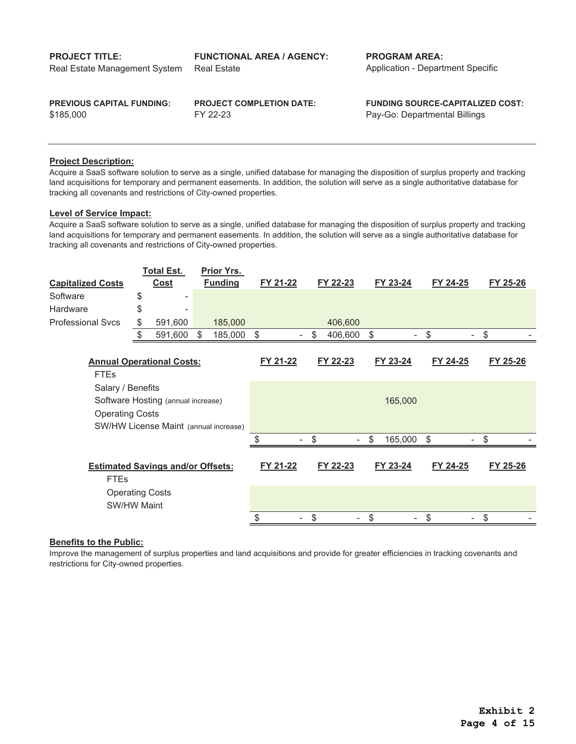**PROJECT TITLE: FUNCTIONAL AREA / AGENCY: PROGRAM AREA:** Real Estate **Application - Department Specific** Real Estate Management System

\$185,000

**PREVIOUS CAPITAL FUNDING: PROJECT COMPLETION DATE: FUNDING SOURCE-CAPITALIZED COST:** FY 22-23 Pay-Go: Departmental Billings

## **Project Description:**

Acquire a SaaS software solution to serve as a single, unified database for managing the disposition of surplus property and tracking land acquisitions for temporary and permanent easements. In addition, the solution will serve as a single authoritative database for tracking all covenants and restrictions of City-owned properties.

## **Level of Service Impact:**

Acquire a SaaS software solution to serve as a single, unified database for managing the disposition of surplus property and tracking land acquisitions for temporary and permanent easements. In addition, the solution will serve as a single authoritative database for tracking all covenants and restrictions of City-owned properties.

|                                                         |    | <b>Total Est.</b>                | Prior Yrs.                            |          |                                |               |          |          |
|---------------------------------------------------------|----|----------------------------------|---------------------------------------|----------|--------------------------------|---------------|----------|----------|
| <b>Capitalized Costs</b>                                |    | Cost                             | <b>Funding</b>                        | FY 21-22 | FY 22-23                       | FY 23-24      | FY 24-25 | FY 25-26 |
| Software                                                | \$ |                                  |                                       |          |                                |               |          |          |
| Hardware                                                | \$ |                                  |                                       |          |                                |               |          |          |
| <b>Professional Sycs</b>                                | \$ | 591,600                          | 185,000                               |          | 406,600                        |               |          |          |
|                                                         | \$ | 591,600                          | 185,000<br>S                          | \$       | \$<br>406,600                  | \$            | \$       | \$       |
| <b>FTEs</b>                                             |    | <b>Annual Operational Costs:</b> |                                       | FY 21-22 | FY 22-23                       | FY 23-24      | FY 24-25 | FY 25-26 |
| Salary / Benefits                                       |    |                                  |                                       |          |                                |               |          |          |
| Software Hosting (annual increase)                      |    |                                  |                                       |          |                                | 165,000       |          |          |
| <b>Operating Costs</b>                                  |    |                                  |                                       |          |                                |               |          |          |
|                                                         |    |                                  | SW/HW License Maint (annual increase) |          |                                |               |          |          |
|                                                         |    |                                  |                                       |          | \$<br>$\overline{\phantom{a}}$ | \$<br>165,000 | \$       | \$       |
| <b>Estimated Savings and/or Offsets:</b><br><b>FTEs</b> |    |                                  | FY 21-22                              | FY 22-23 | FY 23-24                       | FY 24-25      | FY 25-26 |          |
| <b>Operating Costs</b><br><b>SW/HW Maint</b>            |    |                                  |                                       |          |                                |               |          |          |
|                                                         |    |                                  |                                       | \$       | \$                             | \$            | \$       | \$       |

## **Benefits to the Public:**

Improve the management of surplus properties and land acquisitions and provide for greater efficiencies in tracking covenants and restrictions for City-owned properties.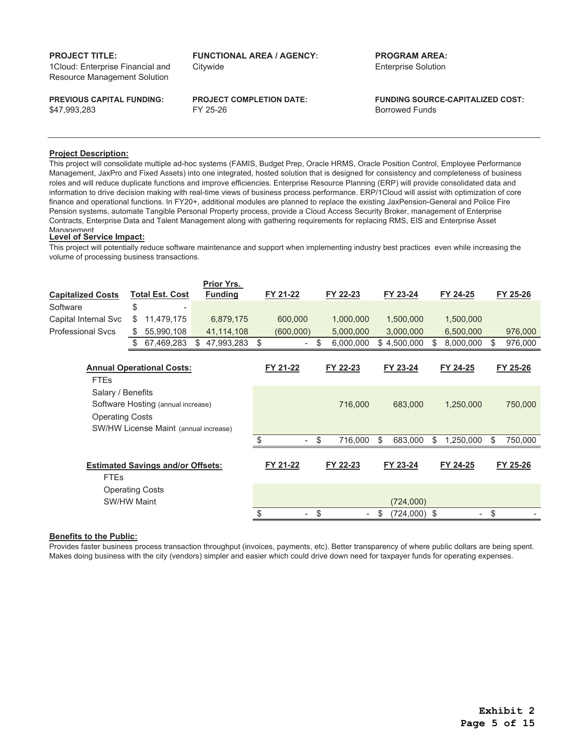1Cloud: Enterprise Financial and Resource Management Solution

\$47,993,283

**PROJECT TITLE: FUNCTIONAL AREA / AGENCY: PROGRAM AREA:** Citywide Enterprise Solution

**PREVIOUS CAPITAL FUNDING: PROJECT COMPLETION DATE: FUNDING SOURCE-CAPITALIZED COST:** FY 25-26 Borrowed Funds

#### **Project Description:**

This project will consolidate multiple ad-hoc systems (FAMIS, Budget Prep, Oracle HRMS, Oracle Position Control, Employee Performance Management, JaxPro and Fixed Assets) into one integrated, hosted solution that is designed for consistency and completeness of business roles and will reduce duplicate functions and improve efficiencies. Enterprise Resource Planning (ERP) will provide consolidated data and information to drive decision making with real-time views of business process performance. ERP/1Cloud will assist with optimization of core finance and operational functions. In FY20+, additional modules are planned to replace the existing JaxPension-General and Police Fire Pension systems, automate Tangible Personal Property process, provide a Cloud Access Security Broker, management of Enterprise Contracts, Enterprise Data and Talent Management along with gathering requirements for replacing RMS, EIS and Enterprise Asset Management

#### **Level of Service Impact:**

This project will potentially reduce software maintenance and support when implementing industry best practices even while increasing the volume of processing business transactions.

|                                                                                                                            |    |                                  |    | <b>Prior Yrs.</b> |           |                                |                      |                 |               |
|----------------------------------------------------------------------------------------------------------------------------|----|----------------------------------|----|-------------------|-----------|--------------------------------|----------------------|-----------------|---------------|
| <b>Capitalized Costs</b>                                                                                                   |    | <b>Total Est. Cost</b>           |    | <b>Funding</b>    | FY 21-22  | FY 22-23                       | FY 23-24             | FY 24-25        | FY 25-26      |
| Software                                                                                                                   | \$ |                                  |    |                   |           |                                |                      |                 |               |
| Capital Internal Svc                                                                                                       | \$ | 11,479,175                       |    | 6,879,175         | 600,000   | 1,000,000                      | 1,500,000            | 1,500,000       |               |
| <b>Professional Sycs</b>                                                                                                   | S  | 55,990,108                       |    | 41,114,108        | (600,000) | 5,000,000                      | 3,000,000            | 6,500,000       | 976,000       |
|                                                                                                                            | S  | 67,469,283                       | \$ | 47,993,283        | \$        | \$<br>6,000,000                | \$4,500,000          | \$<br>8,000,000 | \$<br>976,000 |
| <b>FTEs</b>                                                                                                                |    | <b>Annual Operational Costs:</b> |    |                   | FY 21-22  | FY 22-23                       | FY 23-24             | FY 24-25        | FY 25-26      |
| Salary / Benefits<br>Software Hosting (annual increase)<br><b>Operating Costs</b><br>SW/HW License Maint (annual increase) |    |                                  |    | 716,000           | 683,000   | 1,250,000                      | 750,000              |                 |               |
|                                                                                                                            |    |                                  |    |                   | \$        | \$<br>716,000                  | \$<br>683,000        | \$<br>1,250,000 | \$<br>750,000 |
| <b>Estimated Savings and/or Offsets:</b><br><b>FTEs</b>                                                                    |    |                                  |    | FY 21-22          | FY 22-23  | FY 23-24                       | FY 24-25             | FY 25-26        |               |
| <b>Operating Costs</b><br><b>SW/HW Maint</b>                                                                               |    |                                  |    |                   |           | (724,000)                      |                      |                 |               |
|                                                                                                                            |    |                                  |    |                   |           | \$<br>$\overline{\phantom{a}}$ | \$<br>$(724,000)$ \$ |                 | \$            |

## **Benefits to the Public:**

Provides faster business process transaction throughput (invoices, payments, etc). Better transparency of where public dollars are being spent. Makes doing business with the city (vendors) simpler and easier which could drive down need for taxpayer funds for operating expenses.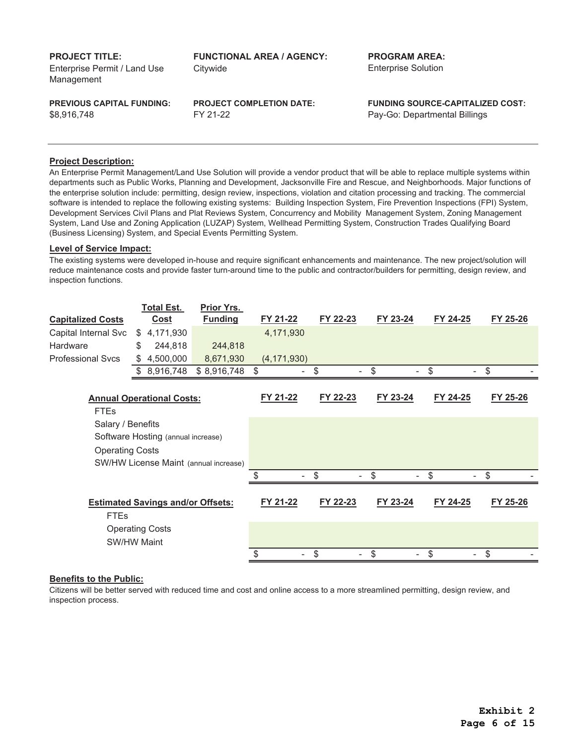Enterprise Permit / Land Use Management

**PROJECT TITLE: FUNCTIONAL AREA / AGENCY: PROGRAM AREA:** Citywide Enterprise Solution

\$8,916,748

FY 21-22 Pay-Go: Departmental Billings

**PREVIOUS CAPITAL FUNDING: PROJECT COMPLETION DATE: FUNDING SOURCE-CAPITALIZED COST:**

#### **Project Description:**

An Enterprise Permit Management/Land Use Solution will provide a vendor product that will be able to replace multiple systems within departments such as Public Works, Planning and Development, Jacksonville Fire and Rescue, and Neighborhoods. Major functions of the enterprise solution include: permitting, design review, inspections, violation and citation processing and tracking. The commercial software is intended to replace the following existing systems: Building Inspection System, Fire Prevention Inspections (FPI) System, Development Services Civil Plans and Plat Reviews System, Concurrency and Mobility Management System, Zoning Management System, Land Use and Zoning Application (LUZAP) System, Wellhead Permitting System, Construction Trades Qualifying Board (Business Licensing) System, and Special Events Permitting System.

#### **Level of Service Impact:**

The existing systems were developed in-house and require significant enhancements and maintenance. The new project/solution will reduce maintenance costs and provide faster turn-around time to the public and contractor/builders for permitting, design review, and inspection functions.

|                                          | <b>Total Est.</b>                  | Prior Yrs.                            |               |                                |          |          |          |
|------------------------------------------|------------------------------------|---------------------------------------|---------------|--------------------------------|----------|----------|----------|
| <b>Capitalized Costs</b>                 | <b>Cost</b>                        | <b>Funding</b>                        | FY 21-22      | FY 22-23                       | FY 23-24 | FY 24-25 | FY 25-26 |
| Capital Internal Svc                     | \$<br>4,171,930                    |                                       | 4,171,930     |                                |          |          |          |
| Hardware                                 | \$<br>244,818                      | 244,818                               |               |                                |          |          |          |
| <b>Professional Svcs</b>                 | \$<br>4,500,000                    | 8,671,930                             | (4, 171, 930) |                                |          |          |          |
|                                          | \$<br>8,916,748                    | \$8,916,748                           | $\sqrt[6]{3}$ | \$<br>-                        | \$       | \$       | \$       |
|                                          |                                    |                                       |               |                                |          |          |          |
| <b>Annual Operational Costs:</b>         |                                    |                                       | FY 21-22      | FY 22-23                       | FY 23-24 | FY 24-25 | FY 25-26 |
| <b>FTEs</b>                              |                                    |                                       |               |                                |          |          |          |
| Salary / Benefits                        |                                    |                                       |               |                                |          |          |          |
|                                          | Software Hosting (annual increase) |                                       |               |                                |          |          |          |
| <b>Operating Costs</b>                   |                                    |                                       |               |                                |          |          |          |
|                                          |                                    | SW/HW License Maint (annual increase) |               |                                |          |          |          |
|                                          |                                    |                                       | \$<br>۰.      | \$<br>$\overline{\phantom{0}}$ | \$       | \$       | \$       |
|                                          |                                    |                                       |               |                                |          |          |          |
| <b>Estimated Savings and/or Offsets:</b> |                                    |                                       | FY 21-22      | FY 22-23                       | FY 23-24 | FY 24-25 | FY 25-26 |
| <b>FTEs</b>                              |                                    |                                       |               |                                |          |          |          |
| <b>Operating Costs</b>                   |                                    |                                       |               |                                |          |          |          |
| <b>SW/HW Maint</b>                       |                                    |                                       |               |                                |          |          |          |
|                                          |                                    |                                       | \$            | \$<br>۰                        | \$       | \$       | \$       |

#### **Benefits to the Public:**

Citizens will be better served with reduced time and cost and online access to a more streamlined permitting, design review, and inspection process.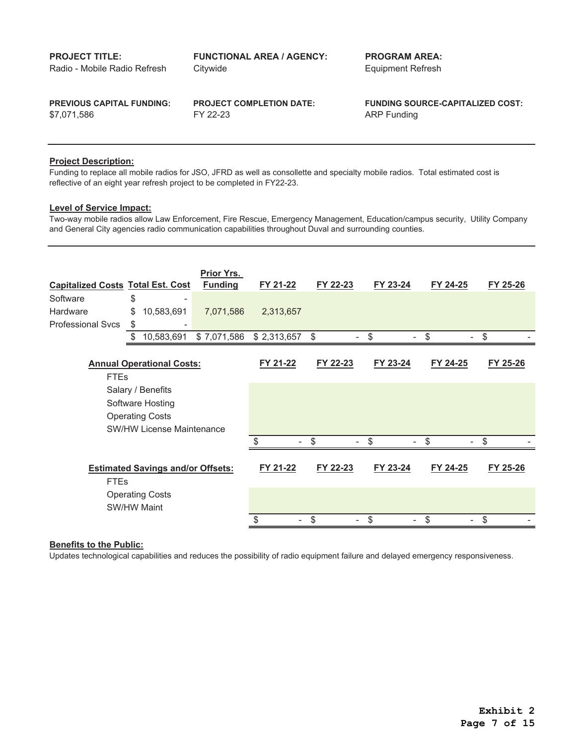| <b>PROJECT TITLE:</b>            | <b>FUNCTIONAL AREA / AGENCY:</b> | <b>PROGRAM AREA:</b>                    |
|----------------------------------|----------------------------------|-----------------------------------------|
| Radio - Mobile Radio Refresh     | Citywide                         | Equipment Refresh                       |
| <b>PREVIOUS CAPITAL FUNDING:</b> | <b>PROJECT COMPLETION DATE:</b>  | <b>FUNDING SOURCE-CAPITALIZED COST:</b> |
| \$7.071.586                      | FY 22-23                         | ARP Funding                             |

Funding to replace all mobile radios for JSO, JFRD as well as consollette and specialty mobile radios. Total estimated cost is reflective of an eight year refresh project to be completed in FY22-23.

## **Level of Service Impact:**

Two-way mobile radios allow Law Enforcement, Fire Rescue, Emergency Management, Education/campus security, Utility Company and General City agencies radio communication capabilities throughout Duval and surrounding counties.

| <b>Capitalized Costs Total Est. Cost</b> |                                          | Prior Yrs.<br><b>Funding</b> | FY 21-22    | FY 22-23 | FY 23-24 | FY 24-25 | FY 25-26 |
|------------------------------------------|------------------------------------------|------------------------------|-------------|----------|----------|----------|----------|
| Software                                 | \$                                       |                              |             |          |          |          |          |
| Hardware                                 | 10,583,691<br>\$                         | 7,071,586                    | 2,313,657   |          |          |          |          |
| <b>Professional Svcs</b>                 | \$                                       |                              |             |          |          |          |          |
|                                          | \$<br>10,583,691                         | \$7,071,586                  | \$2,313,657 | \$<br>٠  | \$<br>٠  | \$<br>٠  | \$       |
| <b>FTEs</b>                              | <b>Annual Operational Costs:</b>         |                              | FY 21-22    | FY 22-23 | FY 23-24 | FY 24-25 | FY 25-26 |
|                                          | Salary / Benefits                        |                              |             |          |          |          |          |
|                                          | Software Hosting                         |                              |             |          |          |          |          |
|                                          | <b>Operating Costs</b>                   |                              |             |          |          |          |          |
|                                          | <b>SW/HW License Maintenance</b>         |                              |             |          |          |          |          |
|                                          |                                          |                              | ፍ           | \$       | \$       | \$       | \$       |
| <b>FTEs</b>                              | <b>Estimated Savings and/or Offsets:</b> |                              | FY 21-22    | FY 22-23 | FY 23-24 | FY 24-25 | FY 25-26 |
|                                          | <b>Operating Costs</b>                   |                              |             |          |          |          |          |
|                                          | <b>SW/HW Maint</b>                       |                              |             |          |          |          |          |
|                                          |                                          |                              | \$          | \$       | \$       | \$       | \$       |

#### **Benefits to the Public:**

Updates technological capabilities and reduces the possibility of radio equipment failure and delayed emergency responsiveness.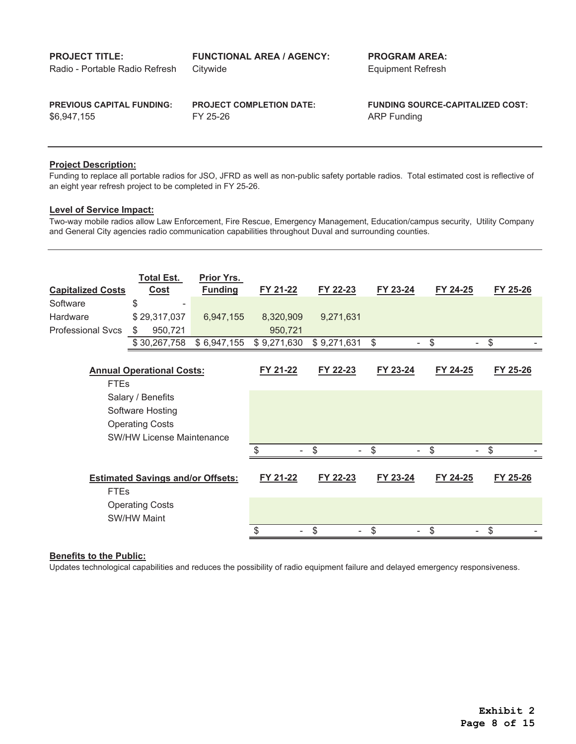**PROJECT TITLE: FUNCTIONAL AREA / AGENCY: PROGRAM AREA:** Citywide **Equipment Refresh PREVIOUS CAPITAL FUNDING: PROJECT COMPLETION DATE: FUNDING SOURCE-CAPITALIZED COST:** FY 25-26 ARP Funding Radio - Portable Radio Refresh \$6,947,155

## **Project Description:**

Funding to replace all portable radios for JSO, JFRD as well as non-public safety portable radios. Total estimated cost is reflective of an eight year refresh project to be completed in FY 25-26.

#### **Level of Service Impact:**

Two-way mobile radios allow Law Enforcement, Fire Rescue, Emergency Management, Education/campus security, Utility Company and General City agencies radio communication capabilities throughout Duval and surrounding counties.

| <b>Capitalized Costs</b> | <b>Total Est.</b><br><b>Cost</b>             | Prior Yrs.<br><b>Funding</b> | FY 21-22    | FY 22-23    | FY 23-24 | FY 24-25 | FY 25-26 |
|--------------------------|----------------------------------------------|------------------------------|-------------|-------------|----------|----------|----------|
| Software                 | \$                                           |                              |             |             |          |          |          |
| <b>Hardware</b>          | \$29,317,037                                 | 6,947,155                    | 8,320,909   | 9,271,631   |          |          |          |
| <b>Professional Svcs</b> | 950,721<br>S                                 |                              | 950,721     |             |          |          |          |
|                          | \$30,267,758                                 | \$6,947,155                  | \$9,271,630 | \$9,271,631 | \$       | \$       | \$       |
| <b>FTEs</b>              | <b>Annual Operational Costs:</b>             |                              | FY 21-22    | FY 22-23    | FY 23-24 | FY 24-25 | FY 25-26 |
|                          | Salary / Benefits                            |                              |             |             |          |          |          |
|                          | Software Hosting                             |                              |             |             |          |          |          |
|                          | <b>Operating Costs</b>                       |                              |             |             |          |          |          |
|                          | <b>SW/HW License Maintenance</b>             |                              |             |             |          |          |          |
|                          |                                              |                              | \$          | \$          | \$       | \$       | \$       |
| <b>FTEs</b>              | <b>Estimated Savings and/or Offsets:</b>     |                              | FY 21-22    | FY 22-23    | FY 23-24 | FY 24-25 | FY 25-26 |
|                          | <b>Operating Costs</b><br><b>SW/HW Maint</b> |                              |             |             |          |          |          |
|                          |                                              |                              |             | \$          | S        | \$       |          |

#### **Benefits to the Public:**

Updates technological capabilities and reduces the possibility of radio equipment failure and delayed emergency responsiveness.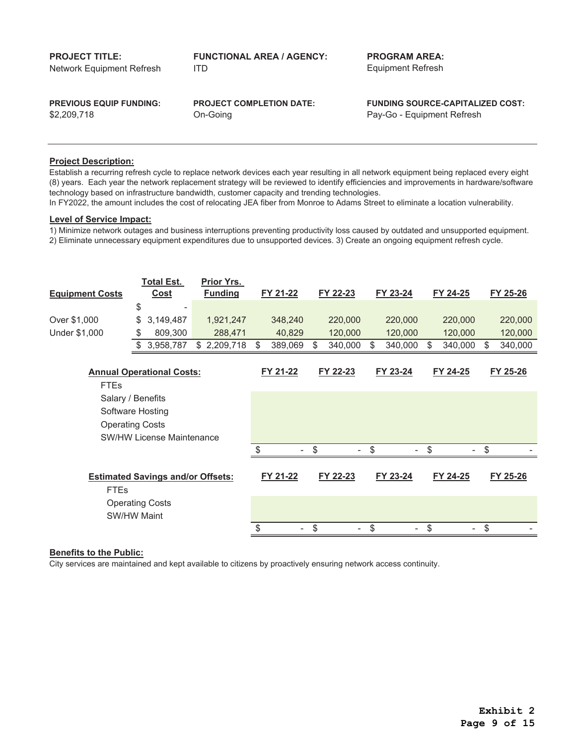| <b>PROJECT TITLE:</b>          | <b>FUNCTIONAL AREA / AGENCY:</b> | <b>PROGRAM AREA:</b>                    |
|--------------------------------|----------------------------------|-----------------------------------------|
| Network Equipment Refresh      | ITD.                             | <b>Equipment Refresh</b>                |
| <b>PREVIOUS EQUIP FUNDING:</b> | <b>PROJECT COMPLETION DATE:</b>  | <b>FUNDING SOURCE-CAPITALIZED COST:</b> |
| \$2,209,718                    | On-Going                         | Pay-Go - Equipment Refresh              |

Establish a recurring refresh cycle to replace network devices each year resulting in all network equipment being replaced every eight (8) years. Each year the network replacement strategy will be reviewed to identify efficiencies and improvements in hardware/software technology based on infrastructure bandwidth, customer capacity and trending technologies.

In FY2022, the amount includes the cost of relocating JEA fiber from Monroe to Adams Street to eliminate a location vulnerability.

## **Level of Service Impact:**

1) Minimize network outages and business interruptions preventing productivity loss caused by outdated and unsupported equipment.

2) Eliminate unnecessary equipment expenditures due to unsupported devices. 3) Create an ongoing equipment refresh cycle.

|                                  | <b>Total Est.</b>                        | Prior Yrs.     |               |                                |                         |          |               |    |          |
|----------------------------------|------------------------------------------|----------------|---------------|--------------------------------|-------------------------|----------|---------------|----|----------|
| <b>Equipment Costs</b>           | <b>Cost</b>                              | <b>Funding</b> | FY 21-22      | FY 22-23                       |                         | FY 23-24 | FY 24-25      |    | FY 25-26 |
|                                  | \$                                       |                |               |                                |                         |          |               |    |          |
| Over \$1,000                     | \$<br>3,149,487                          | 1,921,247      | 348,240       | 220,000                        |                         | 220,000  | 220,000       |    | 220,000  |
| Under \$1,000                    | 809,300<br>S.                            | 288,471        | 40,829        | 120,000                        |                         | 120,000  | 120,000       |    | 120,000  |
|                                  | 3,958,787<br>\$                          | \$2,209,718    | \$<br>389,069 | \$<br>340,000                  | \$                      | 340,000  | \$<br>340,000 | S  | 340,000  |
|                                  |                                          |                |               |                                |                         |          |               |    |          |
| <b>Annual Operational Costs:</b> |                                          |                | FY 21-22      | FY 22-23                       |                         | FY 23-24 | FY 24-25      |    | FY 25-26 |
| <b>FTEs</b>                      |                                          |                |               |                                |                         |          |               |    |          |
|                                  | Salary / Benefits                        |                |               |                                |                         |          |               |    |          |
|                                  | Software Hosting                         |                |               |                                |                         |          |               |    |          |
| <b>Operating Costs</b>           |                                          |                |               |                                |                         |          |               |    |          |
|                                  | <b>SW/HW License Maintenance</b>         |                |               |                                |                         |          |               |    |          |
|                                  |                                          |                | \$<br>٠       | \$<br>$\overline{\phantom{a}}$ | $\sqrt[6]{\frac{1}{2}}$ | -        | \$            | \$ |          |
|                                  |                                          |                |               |                                |                         |          |               |    |          |
|                                  | <b>Estimated Savings and/or Offsets:</b> |                | FY 21-22      | FY 22-23                       |                         | FY 23-24 | FY 24-25      |    | FY 25-26 |
| <b>FTEs</b>                      |                                          |                |               |                                |                         |          |               |    |          |
|                                  | <b>Operating Costs</b>                   |                |               |                                |                         |          |               |    |          |
|                                  | <b>SW/HW Maint</b>                       |                |               |                                |                         |          |               |    |          |
|                                  |                                          |                | \$            | \$<br>٠                        | \$                      |          | \$            | \$ |          |

#### **Benefits to the Public:**

City services are maintained and kept available to citizens by proactively ensuring network access continuity.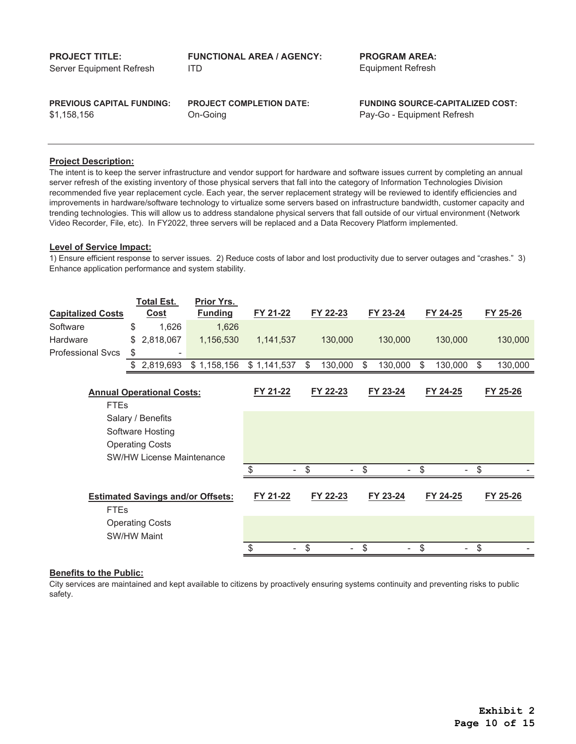| <b>PROJECT TITLE:</b>            | <b>FUNCTIONAL AREA / AGENCY:</b> | <b>PROGRAM AREA:</b>                    |
|----------------------------------|----------------------------------|-----------------------------------------|
| Server Equipment Refresh         | ITD.                             | Equipment Refresh                       |
| <b>PREVIOUS CAPITAL FUNDING:</b> | <b>PROJECT COMPLETION DATE:</b>  | <b>FUNDING SOURCE-CAPITALIZED COST:</b> |
| \$1.158.156                      | On-Going                         | Pay-Go - Equipment Refresh              |

The intent is to keep the server infrastructure and vendor support for hardware and software issues current by completing an annual server refresh of the existing inventory of those physical servers that fall into the category of Information Technologies Division recommended five year replacement cycle. Each year, the server replacement strategy will be reviewed to identify efficiencies and improvements in hardware/software technology to virtualize some servers based on infrastructure bandwidth, customer capacity and trending technologies. This will allow us to address standalone physical servers that fall outside of our virtual environment (Network Video Recorder, File, etc). In FY2022, three servers will be replaced and a Data Recovery Platform implemented.

#### **Level of Service Impact:**

1) Ensure efficient response to server issues. 2) Reduce costs of labor and lost productivity due to server outages and "crashes." 3) Enhance application performance and system stability.

|                          |             | <b>Total Est.</b>                | <b>Prior Yrs.</b>                        |             |                      |               |               |               |
|--------------------------|-------------|----------------------------------|------------------------------------------|-------------|----------------------|---------------|---------------|---------------|
| <b>Capitalized Costs</b> |             | <b>Cost</b>                      | <b>Funding</b>                           | FY 21-22    | FY 22-23             | FY 23-24      | FY 24-25      | FY 25-26      |
| Software                 | \$          | 1,626                            | 1,626                                    |             |                      |               |               |               |
| Hardware                 | \$.         | 2,818,067                        | 1,156,530                                | 1,141,537   | 130,000              | 130,000       | 130,000       | 130,000       |
| <b>Professional Sycs</b> | \$          | ۰                                |                                          |             |                      |               |               |               |
|                          | \$          | 2,819,693                        | \$1,158,156                              | \$1,141,537 | \$<br>130,000        | \$<br>130,000 | \$<br>130,000 | \$<br>130,000 |
|                          |             |                                  |                                          |             |                      |               |               |               |
|                          |             | <b>Annual Operational Costs:</b> |                                          | FY 21-22    | FY 22-23             | FY 23-24      | FY 24-25      | FY 25-26      |
|                          | <b>FTEs</b> |                                  |                                          |             |                      |               |               |               |
|                          |             | Salary / Benefits                |                                          |             |                      |               |               |               |
|                          |             | Software Hosting                 |                                          |             |                      |               |               |               |
|                          |             | <b>Operating Costs</b>           |                                          |             |                      |               |               |               |
|                          |             | <b>SW/HW License Maintenance</b> |                                          |             |                      |               |               |               |
|                          |             |                                  |                                          | \$          | \$<br>-              | \$            | \$            | \$            |
|                          |             |                                  |                                          |             |                      |               |               |               |
|                          |             |                                  | <b>Estimated Savings and/or Offsets:</b> | FY 21-22    | FY 22-23             | FY 23-24      | FY 24-25      | FY 25-26      |
|                          | <b>FTEs</b> |                                  |                                          |             |                      |               |               |               |
|                          |             | <b>Operating Costs</b>           |                                          |             |                      |               |               |               |
|                          |             | <b>SW/HW Maint</b>               |                                          |             |                      |               |               |               |
|                          |             |                                  |                                          | \$          | \$<br>$\blacksquare$ | \$            | \$            | \$            |

## **Benefits to the Public:**

City services are maintained and kept available to citizens by proactively ensuring systems continuity and preventing risks to public safety.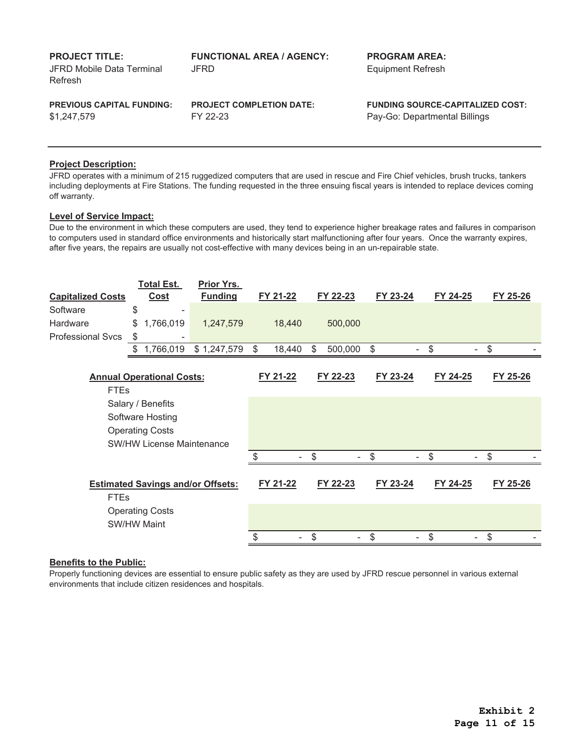| <b>PROJECT TITLE:</b><br>JFRD Mobile Data Terminal<br>Refresh | <b>FUNCTIONAL AREA / AGENCY:</b><br>JFRD. | <b>PROGRAM AREA:</b><br><b>Equipment Refresh</b> |
|---------------------------------------------------------------|-------------------------------------------|--------------------------------------------------|
| <b>PREVIOUS CAPITAL FUNDING:</b>                              | <b>PROJECT COMPLETION DATE:</b>           | <b>FUNDING SOURCE-CAPITALIZED COST:</b>          |
| \$1,247,579                                                   | FY 22-23                                  | Pay-Go: Departmental Billings                    |

JFRD operates with a minimum of 215 ruggedized computers that are used in rescue and Fire Chief vehicles, brush trucks, tankers including deployments at Fire Stations. The funding requested in the three ensuing fiscal years is intended to replace devices coming off warranty.

## **Level of Service Impact:**

Due to the environment in which these computers are used, they tend to experience higher breakage rates and failures in comparison to computers used in standard office environments and historically start malfunctioning after four years. Once the warranty expires, after five years, the repairs are usually not cost-effective with many devices being in an un-repairable state.

|                                  | <b>Total Est.</b>                        | Prior Yrs.     |          |              |          |          |          |          |
|----------------------------------|------------------------------------------|----------------|----------|--------------|----------|----------|----------|----------|
| <b>Capitalized Costs</b>         | <b>Cost</b>                              | <b>Funding</b> | FY 21-22 |              | FY 22-23 | FY 23-24 | FY 24-25 | FY 25-26 |
| Software                         | \$                                       |                |          |              |          |          |          |          |
| Hardware                         | 1,766,019<br>\$                          | 1,247,579      |          | 18,440       | 500,000  |          |          |          |
| <b>Professional Svcs</b>         | \$                                       |                |          |              |          |          |          |          |
|                                  | 1,766,019<br>\$                          | \$1,247,579    | \$       | 18,440<br>\$ | 500,000  | \$       | \$       | \$       |
|                                  |                                          |                |          |              |          |          |          |          |
| <b>Annual Operational Costs:</b> |                                          |                | FY 21-22 |              | FY 22-23 | FY 23-24 | FY 24-25 | FY 25-26 |
| <b>FTEs</b>                      |                                          |                |          |              |          |          |          |          |
|                                  | Salary / Benefits                        |                |          |              |          |          |          |          |
|                                  | Software Hosting                         |                |          |              |          |          |          |          |
|                                  | <b>Operating Costs</b>                   |                |          |              |          |          |          |          |
|                                  | <b>SW/HW License Maintenance</b>         |                |          |              |          |          |          |          |
|                                  |                                          |                |          | \$           |          | \$       | \$       | \$       |
|                                  |                                          |                |          |              |          |          |          |          |
|                                  | <b>Estimated Savings and/or Offsets:</b> |                | FY 21-22 |              | FY 22-23 | FY 23-24 | FY 24-25 | FY 25-26 |
| <b>FTEs</b>                      |                                          |                |          |              |          |          |          |          |
|                                  | <b>Operating Costs</b>                   |                |          |              |          |          |          |          |
|                                  | <b>SW/HW Maint</b>                       |                |          |              |          |          |          |          |
|                                  |                                          |                | \$       | \$           |          | \$       | \$       | \$       |

## **Benefits to the Public:**

Properly functioning devices are essential to ensure public safety as they are used by JFRD rescue personnel in various external environments that include citizen residences and hospitals.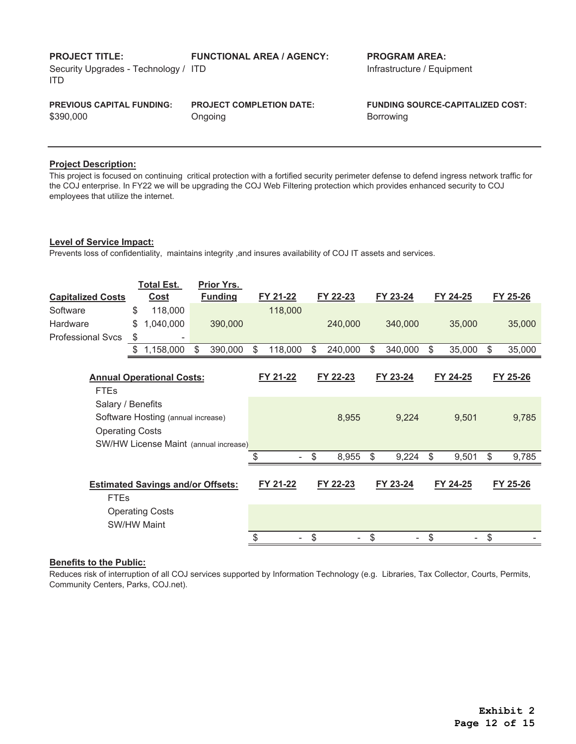| <b>PROJECT TITLE:</b><br>Security Upgrades - Technology / ITD<br>ITD | <b>FUNCTIONAL AREA / AGENCY:</b> | <b>PROGRAM AREA:</b><br>Infrastructure / Equipment |
|----------------------------------------------------------------------|----------------------------------|----------------------------------------------------|
| <b>PREVIOUS CAPITAL FUNDING:</b>                                     | <b>PROJECT COMPLETION DATE:</b>  | <b>FUNDING SOURCE-CAPITALIZED COST:</b>            |
| \$390,000                                                            | Ongoing                          | <b>Borrowing</b>                                   |

This project is focused on continuing critical protection with a fortified security perimeter defense to defend ingress network traffic for the COJ enterprise. In FY22 we will be upgrading the COJ Web Filtering protection which provides enhanced security to COJ employees that utilize the internet.

#### **Level of Service Impact:**

Prevents loss of confidentiality, maintains integrity ,and insures availability of COJ IT assets and services.

| <b>Capitalized Costs</b>         |    | <b>Total Est.</b><br><b>Cost</b>         |    | Prior Yrs.<br><b>Funding</b> | FY 21-22      | FY 22-23      | FY 23-24      | FY 24-25     | FY 25-26     |
|----------------------------------|----|------------------------------------------|----|------------------------------|---------------|---------------|---------------|--------------|--------------|
| Software                         | \$ | 118,000                                  |    |                              | 118,000       |               |               |              |              |
| Hardware                         | \$ | 1,040,000                                |    | 390,000                      |               | 240,000       | 340,000       | 35,000       | 35,000       |
| <b>Professional Svcs</b>         | \$ |                                          |    |                              |               |               |               |              |              |
|                                  | \$ | 1,158,000                                | \$ | 390,000                      | \$<br>118,000 | \$<br>240,000 | \$<br>340,000 | \$<br>35,000 | \$<br>35,000 |
| <b>Annual Operational Costs:</b> |    |                                          |    |                              | FY 21-22      | FY 22-23      | FY 23-24      | FY 24-25     | FY 25-26     |
| <b>FTEs</b>                      |    |                                          |    |                              |               |               |               |              |              |
| Salary / Benefits                |    |                                          |    |                              |               |               |               |              |              |
|                                  |    | Software Hosting (annual increase)       |    |                              |               | 8,955         | 9,224         | 9,501        | 9,785        |
| <b>Operating Costs</b>           |    |                                          |    |                              |               |               |               |              |              |
|                                  |    | SW/HW License Maint (annual increase)    |    |                              |               |               |               |              |              |
|                                  |    |                                          |    |                              |               | \$<br>8,955   | \$<br>9,224   | \$<br>9,501  | \$<br>9,785  |
|                                  |    |                                          |    |                              |               |               |               |              |              |
|                                  |    | <b>Estimated Savings and/or Offsets:</b> |    |                              | FY 21-22      | FY 22-23      | FY 23-24      | FY 24-25     | FY 25-26     |
| <b>FTEs</b>                      |    |                                          |    |                              |               |               |               |              |              |
|                                  |    | <b>Operating Costs</b>                   |    |                              |               |               |               |              |              |
|                                  |    | <b>SW/HW Maint</b>                       |    |                              |               |               |               |              |              |
|                                  |    |                                          |    |                              |               | \$            | \$            | \$           | \$           |

## **Benefits to the Public:**

Reduces risk of interruption of all COJ services supported by Information Technology (e.g. Libraries, Tax Collector, Courts, Permits, Community Centers, Parks, COJ.net).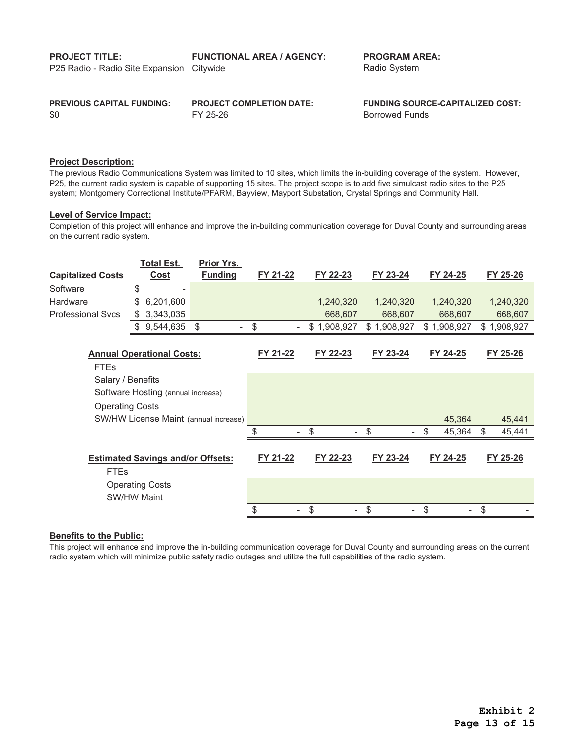| <b>PROJECT TITLE:</b><br>P25 Radio - Radio Site Expansion Citywide | <b>FUNCTIONAL AREA / AGENCY:</b> | <b>PROGRAM AREA:</b><br>Radio System    |
|--------------------------------------------------------------------|----------------------------------|-----------------------------------------|
| <b>PREVIOUS CAPITAL FUNDING:</b>                                   | <b>PROJECT COMPLETION DATE:</b>  | <b>FUNDING SOURCE-CAPITALIZED COST:</b> |
| \$0                                                                | FY 25-26                         | <b>Borrowed Funds</b>                   |

The previous Radio Communications System was limited to 10 sites, which limits the in-building coverage of the system. However, P25, the current radio system is capable of supporting 15 sites. The project scope is to add five simulcast radio sites to the P25 system; Montgomery Correctional Institute/PFARM, Bayview, Mayport Substation, Crystal Springs and Community Hall.

## **Level of Service Impact:**

Completion of this project will enhance and improve the in-building communication coverage for Duval County and surrounding areas on the current radio system.

|                          | <b>Total Est.</b>                        | Prior Yrs.     |                          |             |             |              |             |
|--------------------------|------------------------------------------|----------------|--------------------------|-------------|-------------|--------------|-------------|
| <b>Capitalized Costs</b> | Cost                                     | <b>Funding</b> | FY 21-22                 | FY 22-23    | FY 23-24    | FY 24-25     | FY 25-26    |
| Software                 | \$                                       |                |                          |             |             |              |             |
| <b>Hardware</b>          | \$<br>6,201,600                          |                |                          | 1,240,320   | 1,240,320   | 1,240,320    | 1,240,320   |
| Professional Svcs        | 3,343,035<br>S                           |                |                          | 668,607     | 668,607     | 668,607      | 668,607     |
|                          | 9,544,635<br>\$                          | \$             | \$<br>٠                  | \$1,908,927 | \$1,908,927 | \$1,908,927  | \$1,908,927 |
|                          |                                          |                |                          |             |             |              |             |
|                          | <b>Annual Operational Costs:</b>         |                | FY 21-22                 | FY 22-23    | FY 23-24    | FY 24-25     | FY 25-26    |
| <b>FTEs</b>              |                                          |                |                          |             |             |              |             |
| Salary / Benefits        |                                          |                |                          |             |             |              |             |
|                          | Software Hosting (annual increase)       |                |                          |             |             |              |             |
| <b>Operating Costs</b>   |                                          |                |                          |             |             |              |             |
|                          | SW/HW License Maint (annual increase)    |                |                          |             |             | 45,364       | 45,441      |
|                          |                                          |                | $\overline{\phantom{a}}$ | \$<br>۰     | \$          | \$<br>45,364 | 45,441<br>S |
|                          |                                          |                |                          |             |             |              |             |
|                          | <b>Estimated Savings and/or Offsets:</b> |                | FY 21-22                 | FY 22-23    | FY 23-24    | FY 24-25     | FY 25-26    |
| <b>FTEs</b>              |                                          |                |                          |             |             |              |             |
|                          | <b>Operating Costs</b>                   |                |                          |             |             |              |             |
|                          | <b>SW/HW Maint</b>                       |                |                          |             |             |              |             |
|                          |                                          |                | \$<br>۰.                 | \$          | \$          | \$           | \$          |

#### **Benefits to the Public:**

This project will enhance and improve the in-building communication coverage for Duval County and surrounding areas on the current radio system which will minimize public safety radio outages and utilize the full capabilities of the radio system.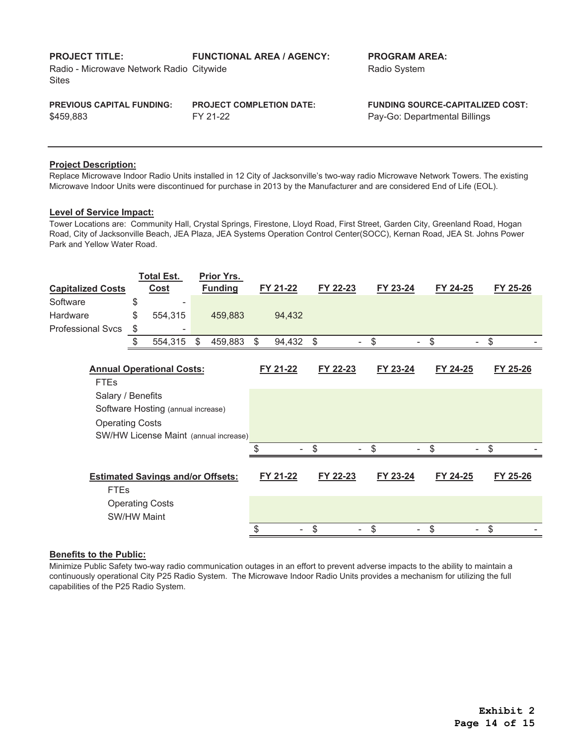| <b>PROJECT TITLE:</b><br>Radio - Microwave Network Radio Citywide<br><b>Sites</b> | <b>FUNCTIONAL AREA / AGENCY:</b> | <b>PROGRAM AREA:</b><br>Radio System    |
|-----------------------------------------------------------------------------------|----------------------------------|-----------------------------------------|
| <b>PREVIOUS CAPITAL FUNDING:</b>                                                  | <b>PROJECT COMPLETION DATE:</b>  | <b>FUNDING SOURCE-CAPITALIZED COST:</b> |
| \$459.883                                                                         | FY 21-22                         | Pay-Go: Departmental Billings           |

Replace Microwave Indoor Radio Units installed in 12 City of Jacksonville's two-way radio Microwave Network Towers. The existing Microwave Indoor Units were discontinued for purchase in 2013 by the Manufacturer and are considered End of Life (EOL).

## **Level of Service Impact:**

Tower Locations are: Community Hall, Crystal Springs, Firestone, Lloyd Road, First Street, Garden City, Greenland Road, Hogan Road, City of Jacksonville Beach, JEA Plaza, JEA Systems Operation Control Center(SOCC), Kernan Road, JEA St. Johns Power Park and Yellow Water Road.

|                                  |               | <b>Total Est.</b>                        |       | Prior Yrs.     |               |          |                         |          |          |          |
|----------------------------------|---------------|------------------------------------------|-------|----------------|---------------|----------|-------------------------|----------|----------|----------|
| <b>Capitalized Costs</b>         |               | <b>Cost</b>                              |       | <b>Funding</b> |               | FY 21-22 | FY 22-23                | FY 23-24 | FY 24-25 | FY 25-26 |
| Software                         | \$            |                                          |       |                |               |          |                         |          |          |          |
| Hardware                         | \$            | 554,315                                  |       | 459,883        |               | 94,432   |                         |          |          |          |
| <b>Professional Svcs</b>         | \$            | ۰                                        |       |                |               |          |                         |          |          |          |
|                                  | $\frac{1}{2}$ | 554,315                                  | $\$\$ | 459,883        | $\sqrt[6]{2}$ | 94,432   | $\sqrt[6]{\frac{1}{2}}$ |          | \$       | \$       |
|                                  |               |                                          |       |                |               |          |                         |          |          |          |
| <b>Annual Operational Costs:</b> |               |                                          |       |                | FY 21-22      | FY 22-23 | FY 23-24                | FY 24-25 | FY 25-26 |          |
| <b>FTEs</b>                      |               |                                          |       |                |               |          |                         |          |          |          |
| Salary / Benefits                |               |                                          |       |                |               |          |                         |          |          |          |
|                                  |               | Software Hosting (annual increase)       |       |                |               |          |                         |          |          |          |
| <b>Operating Costs</b>           |               |                                          |       |                |               |          |                         |          |          |          |
|                                  |               | SW/HW License Maint (annual increase)    |       |                |               |          |                         |          |          |          |
|                                  |               |                                          |       |                |               |          | \$                      | \$       | \$       | \$       |
|                                  |               |                                          |       |                |               |          |                         |          |          |          |
|                                  |               | <b>Estimated Savings and/or Offsets:</b> |       |                |               | FY 21-22 | FY 22-23                | FY 23-24 | FY 24-25 | FY 25-26 |
| <b>FTEs</b>                      |               |                                          |       |                |               |          |                         |          |          |          |
| <b>Operating Costs</b>           |               |                                          |       |                |               |          |                         |          |          |          |
|                                  |               | <b>SW/HW Maint</b>                       |       |                |               |          |                         |          |          |          |
|                                  |               |                                          |       |                | \$            |          | \$                      | \$       | \$       | \$       |

#### **Benefits to the Public:**

Minimize Public Safety two-way radio communication outages in an effort to prevent adverse impacts to the ability to maintain a continuously operational City P25 Radio System. The Microwave Indoor Radio Units provides a mechanism for utilizing the full capabilities of the P25 Radio System.